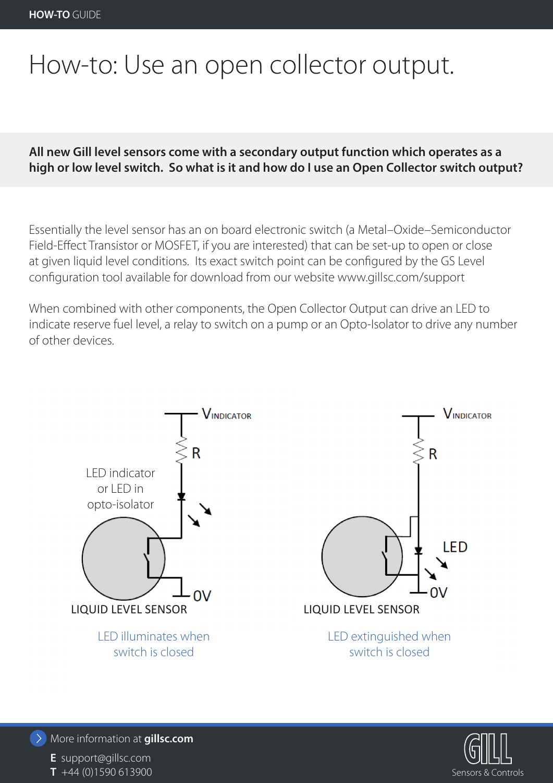# How-to: Use an open collector output.

## **All new Gill level sensors come with a secondary output function which operates as a high or low level switch. So what is it and how do I use an Open Collector switch output?**

Essentially the level sensor has an on board electronic switch (a Metal–Oxide–Semiconductor Field-Effect Transistor or MOSFET, if you are interested) that can be set-up to open or close at given liquid level conditions. Its exact switch point can be configured by the GS Level configuration tool available for download from our website www.gillsc.com/support

When combined with other components, the Open Collector Output can drive an LED to indicate reserve fuel level, a relay to switch on a pump or an Opto-Isolator to drive any number of other devices.





More information at **gillsc.com**

**E** support@gillsc.com **T** +44 (0)1590 613900 Sensors & Controls